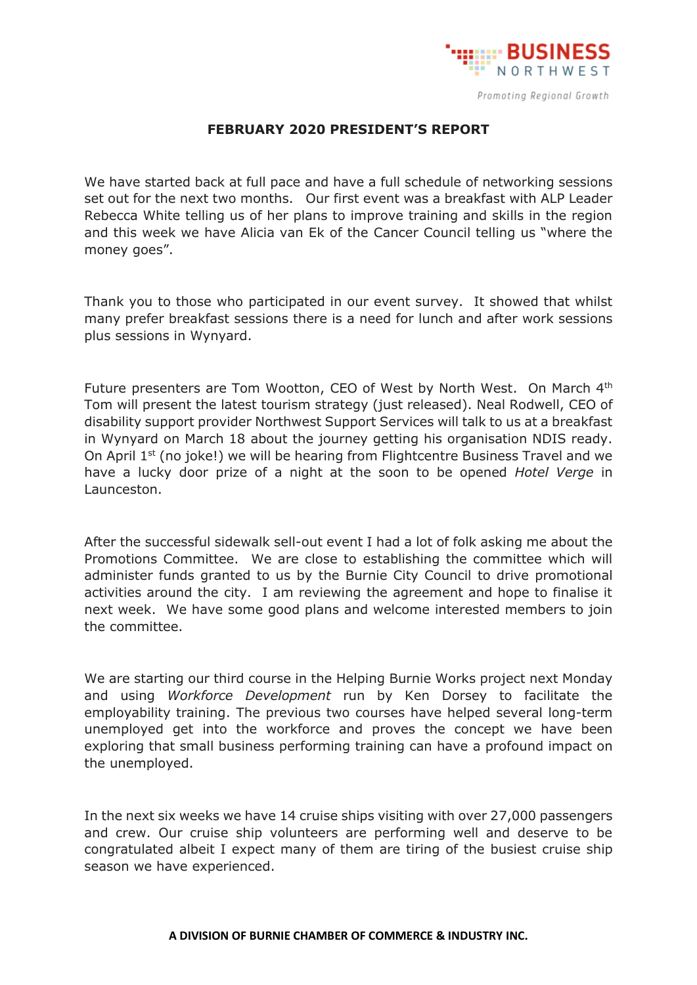

## **FEBRUARY 2020 PRESIDENT'S REPORT**

We have started back at full pace and have a full schedule of networking sessions set out for the next two months. Our first event was a breakfast with ALP Leader Rebecca White telling us of her plans to improve training and skills in the region and this week we have Alicia van Ek of the Cancer Council telling us "where the money goes".

Thank you to those who participated in our event survey. It showed that whilst many prefer breakfast sessions there is a need for lunch and after work sessions plus sessions in Wynyard.

Future presenters are Tom Wootton, CEO of West by North West. On March 4<sup>th</sup> Tom will present the latest tourism strategy (just released). Neal Rodwell, CEO of disability support provider Northwest Support Services will talk to us at a breakfast in Wynyard on March 18 about the journey getting his organisation NDIS ready. On April 1<sup>st</sup> (no joke!) we will be hearing from Flightcentre Business Travel and we have a lucky door prize of a night at the soon to be opened *Hotel Verge* in Launceston.

After the successful sidewalk sell-out event I had a lot of folk asking me about the Promotions Committee. We are close to establishing the committee which will administer funds granted to us by the Burnie City Council to drive promotional activities around the city. I am reviewing the agreement and hope to finalise it next week. We have some good plans and welcome interested members to join the committee.

We are starting our third course in the Helping Burnie Works project next Monday and using *Workforce Development* run by Ken Dorsey to facilitate the employability training. The previous two courses have helped several long-term unemployed get into the workforce and proves the concept we have been exploring that small business performing training can have a profound impact on the unemployed.

In the next six weeks we have 14 cruise ships visiting with over 27,000 passengers and crew. Our cruise ship volunteers are performing well and deserve to be congratulated albeit I expect many of them are tiring of the busiest cruise ship season we have experienced.